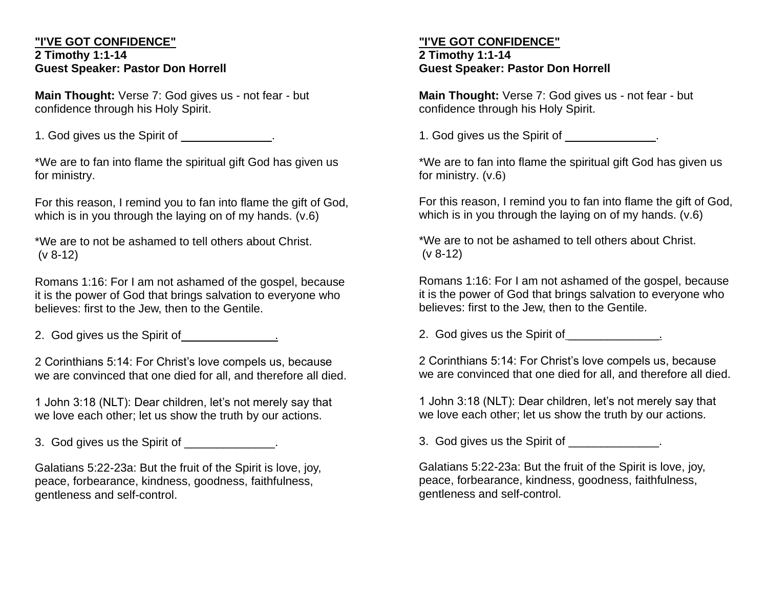### **"I'VE GOT CONFIDENCE" 2 Timothy 1:1-14 Guest Speaker: Pastor Don Horrell**

**Main Thought:** Verse 7: God gives us - not fear - but confidence through his Holy Spirit.

1. God gives us the Spirit of  $\qquad \qquad$ 

\*We are to fan into flame the spiritual gift God has given us for ministry.

For this reason, I remind you to fan into flame the gift of God, which is in you through the laying on of my hands. (v.6)

\*We are to not be ashamed to tell others about Christ. (v 8-12)

Romans 1:16: For I am not ashamed of the gospel, because it is the power of God that brings salvation to everyone who believes: first to the Jew, then to the Gentile.

2. God gives us the Spirit of  $\qquad \qquad$ 

2 Corinthians 5:14: For Christ's love compels us, because we are convinced that one died for all, and therefore all died.

1 John 3:18 (NLT): Dear children, let's not merely say that we love each other; let us show the truth by our actions.

3. God gives us the Spirit of \_\_\_\_\_\_\_\_\_\_\_\_\_.

Galatians 5:22-23a: But the fruit of the Spirit is love, joy, peace, forbearance, kindness, goodness, faithfulness, gentleness and self-control.

### **"I'VE GOT CONFIDENCE" 2 Timothy 1:1-14 Guest Speaker: Pastor Don Horrell**

**Main Thought:** Verse 7: God gives us - not fear - but confidence through his Holy Spirit.

1. God gives us the Spirit of  $\qquad \qquad$ 

\*We are to fan into flame the spiritual gift God has given us for ministry. (v.6)

For this reason, I remind you to fan into flame the gift of God, which is in you through the laying on of my hands. (v.6)

\*We are to not be ashamed to tell others about Christ. (v 8-12)

Romans 1:16: For I am not ashamed of the gospel, because it is the power of God that brings salvation to everyone who believes: first to the Jew, then to the Gentile.

2. God gives us the Spirit of \_\_\_\_\_\_\_\_\_\_\_\_\_.

2 Corinthians 5:14: For Christ's love compels us, because we are convinced that one died for all, and therefore all died.

1 John 3:18 (NLT): Dear children, let's not merely say that we love each other; let us show the truth by our actions.

3. God gives us the Spirit of  $\qquad \qquad$ 

Galatians 5:22-23a: But the fruit of the Spirit is love, joy, peace, forbearance, kindness, goodness, faithfulness, gentleness and self-control.